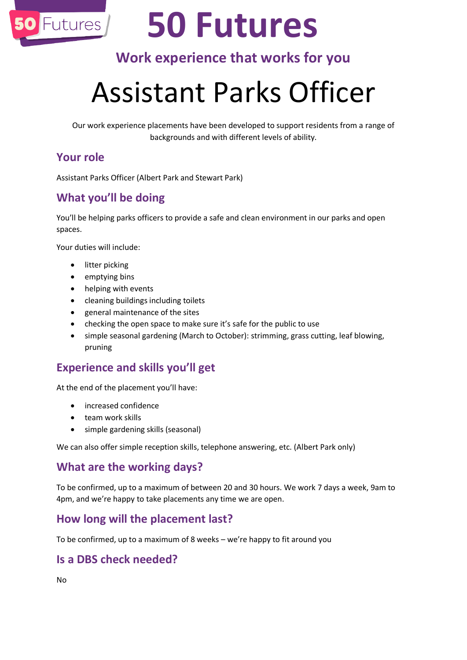

# **50 Futures**

### **Work experience that works for you**

## Assistant Parks Officer

Our work experience placements have been developed to support residents from a range of backgrounds and with different levels of ability.

#### **Your role**

Assistant Parks Officer (Albert Park and Stewart Park)

#### **What you'll be doing**

You'll be helping parks officers to provide a safe and clean environment in our parks and open spaces.

Your duties will include:

- litter picking
- emptying bins
- helping with events
- cleaning buildings including toilets
- general maintenance of the sites
- checking the open space to make sure it's safe for the public to use
- simple seasonal gardening (March to October): strimming, grass cutting, leaf blowing, pruning

#### **Experience and skills you'll get**

At the end of the placement you'll have:

- increased confidence
- team work skills
- simple gardening skills (seasonal)

We can also offer simple reception skills, telephone answering, etc. (Albert Park only)

#### **What are the working days?**

To be confirmed, up to a maximum of between 20 and 30 hours. We work 7 days a week, 9am to 4pm, and we're happy to take placements any time we are open.

#### **How long will the placement last?**

To be confirmed, up to a maximum of 8 weeks – we're happy to fit around you

#### **Is a DBS check needed?**

No